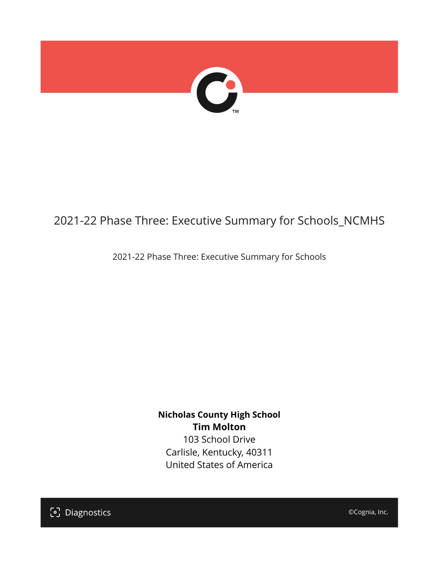

## 2021-22 Phase Three: Executive Summary for Schools\_NCMHS

2021-22 Phase Three: Executive Summary for Schools

**Nicholas County High School Tim Molton** 103 School Drive Carlisle, Kentucky, 40311 United States of America

[၁] Diagnostics

©Cognia, Inc.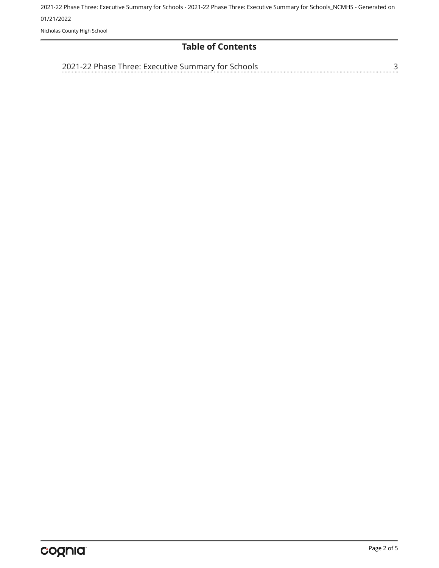2021-22 Phase Three: Executive Summary for Schools - 2021-22 Phase Three: Executive Summary for Schools\_NCMHS - Generated on 01/21/2022

Nicholas County High School

#### **Table of Contents**

[2021-22 Phase Three: Executive Summary for Schools](#page-2-0)

[3](#page-2-0)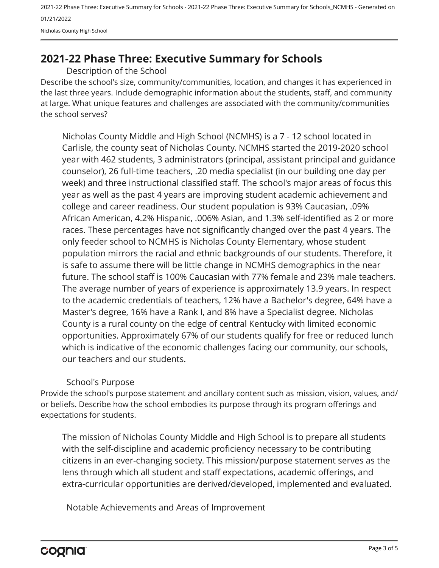2021-22 Phase Three: Executive Summary for Schools - 2021-22 Phase Three: Executive Summary for Schools\_NCMHS - Generated on 01/21/2022 Nicholas County High School

### <span id="page-2-0"></span>**2021-22 Phase Three: Executive Summary for Schools**

Description of the School

Describe the school's size, community/communities, location, and changes it has experienced in the last three years. Include demographic information about the students, staff, and community at large. What unique features and challenges are associated with the community/communities the school serves?

Nicholas County Middle and High School (NCMHS) is a 7 - 12 school located in Carlisle, the county seat of Nicholas County. NCMHS started the 2019-2020 school year with 462 students, 3 administrators (principal, assistant principal and guidance counselor), 26 full-time teachers, .20 media specialist (in our building one day per week) and three instructional classified staff. The school's major areas of focus this year as well as the past 4 years are improving student academic achievement and college and career readiness. Our student population is 93% Caucasian, .09% African American, 4.2% Hispanic, .006% Asian, and 1.3% self-identified as 2 or more races. These percentages have not significantly changed over the past 4 years. The only feeder school to NCMHS is Nicholas County Elementary, whose student population mirrors the racial and ethnic backgrounds of our students. Therefore, it is safe to assume there will be little change in NCMHS demographics in the near future. The school staff is 100% Caucasian with 77% female and 23% male teachers. The average number of years of experience is approximately 13.9 years. In respect to the academic credentials of teachers, 12% have a Bachelor's degree, 64% have a Master's degree, 16% have a Rank I, and 8% have a Specialist degree. Nicholas County is a rural county on the edge of central Kentucky with limited economic opportunities. Approximately 67% of our students qualify for free or reduced lunch which is indicative of the economic challenges facing our community, our schools, our teachers and our students.

#### School's Purpose

Provide the school's purpose statement and ancillary content such as mission, vision, values, and/ or beliefs. Describe how the school embodies its purpose through its program offerings and expectations for students.

The mission of Nicholas County Middle and High School is to prepare all students with the self-discipline and academic proficiency necessary to be contributing citizens in an ever-changing society. This mission/purpose statement serves as the lens through which all student and staff expectations, academic offerings, and extra-curricular opportunities are derived/developed, implemented and evaluated.

Notable Achievements and Areas of Improvement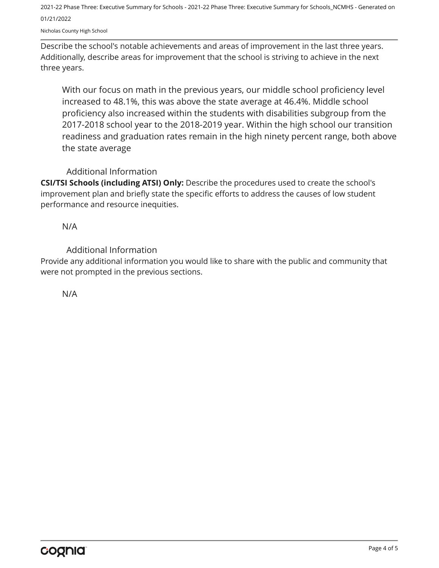2021-22 Phase Three: Executive Summary for Schools - 2021-22 Phase Three: Executive Summary for Schools\_NCMHS - Generated on 01/21/2022

Nicholas County High School

Describe the school's notable achievements and areas of improvement in the last three years. Additionally, describe areas for improvement that the school is striving to achieve in the next three years.

With our focus on math in the previous years, our middle school proficiency level increased to 48.1%, this was above the state average at 46.4%. Middle school proficiency also increased within the students with disabilities subgroup from the 2017-2018 school year to the 2018-2019 year. Within the high school our transition readiness and graduation rates remain in the high ninety percent range, both above the state average

#### Additional Information

**CSI/TSI Schools (including ATSI) Only:** Describe the procedures used to create the school's improvement plan and briefly state the specific efforts to address the causes of low student performance and resource inequities.

N/A

Additional Information

Provide any additional information you would like to share with the public and community that were not prompted in the previous sections.

N/A